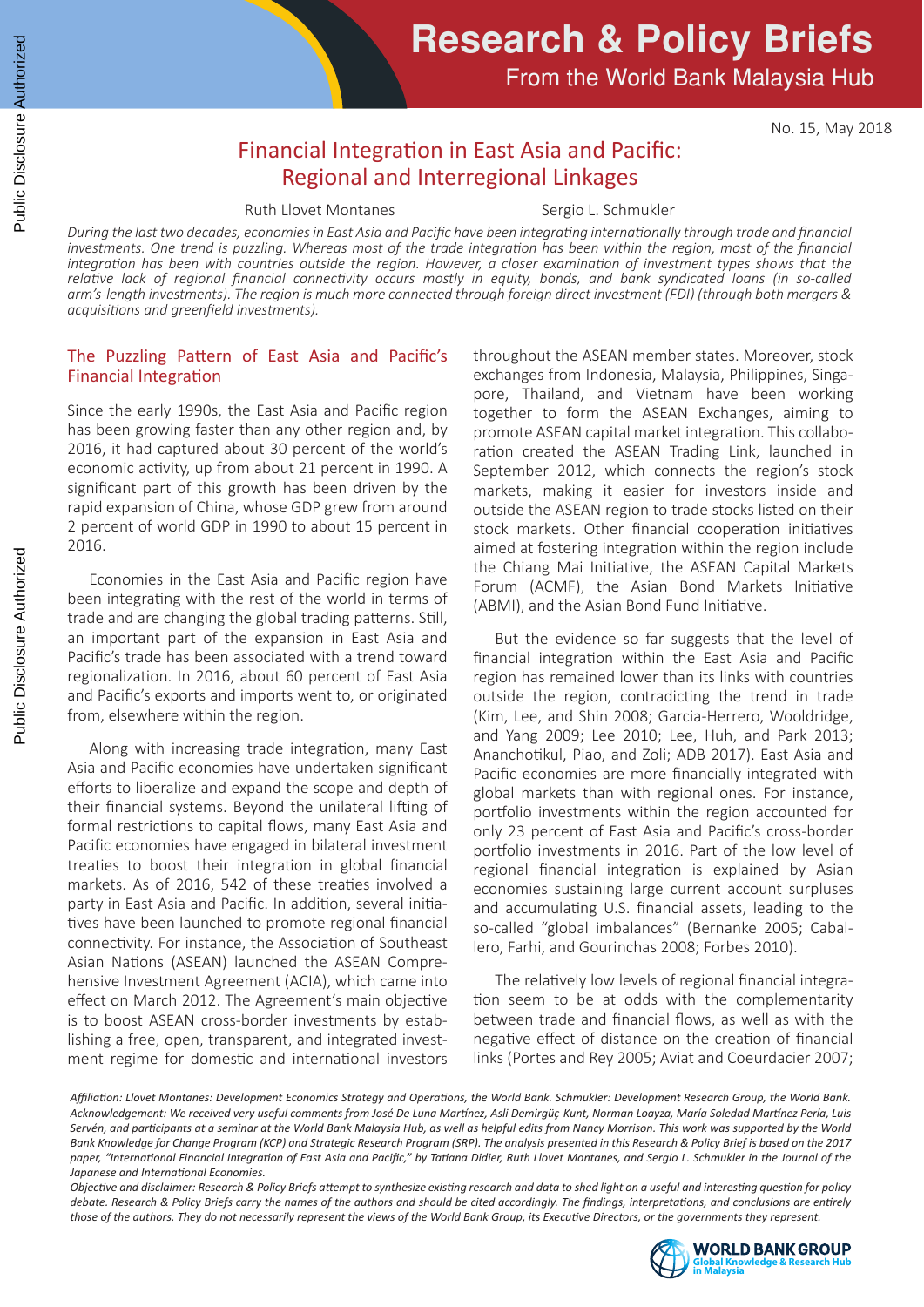# **Research & Policy Briefs**

From the World Bank Malaysia Hub

No. 15, May 2018

## Financial Integration in East Asia and Pacific: Regional and Interregional Linkages

Ruth Llovet Montanes Sergio L. Schmukler

*During the last two decades, economies in East Asia and Pacific have been integrating internationally through trade and financial*  investments. One trend is puzzling. Whereas most of the trade integration has been within the region, most of the financial *integration has been with countries outside the region. However, a closer examination of investment types shows that the relative lack of regional financial connectivity occurs mostly in equity, bonds, and bank syndicated loans (in so-called arm's-length investments). The region is much more connected through foreign direct investment (FDI) (through both mergers & acquisitions and greenfield investments).*

### The Puzzling Pattern of East Asia and Pacific's Financial Integration

Since the early 1990s, the East Asia and Pacific region has been growing faster than any other region and, by 2016, it had captured about 30 percent of the world's economic activity, up from about 21 percent in 1990. A significant part of this growth has been driven by the rapid expansion of China, whose GDP grew from around 2 percent of world GDP in 1990 to about 15 percent in 2016.

 Economies in the East Asia and Pacific region have been integrating with the rest of the world in terms of trade and are changing the global trading patterns. Still, an important part of the expansion in East Asia and Pacific's trade has been associated with a trend toward regionalization. In 2016, about 60 percent of East Asia and Pacific's exports and imports went to, or originated from, elsewhere within the region.

 Along with increasing trade integration, many East Asia and Pacific economies have undertaken significant efforts to liberalize and expand the scope and depth of their financial systems. Beyond the unilateral lifting of formal restrictions to capital flows, many East Asia and Pacific economies have engaged in bilateral investment treaties to boost their integration in global financial markets. As of 2016, 542 of these treaties involved a party in East Asia and Pacific. In addition, several initiatives have been launched to promote regional financial connectivity. For instance, the Association of Southeast Asian Nations (ASEAN) launched the ASEAN Comprehensive Investment Agreement (ACIA), which came into effect on March 2012. The Agreement's main objective is to boost ASEAN cross-border investments by establishing a free, open, transparent, and integrated investment regime for domestic and international investors

throughout the ASEAN member states. Moreover, stock exchanges from Indonesia, Malaysia, Philippines, Singapore, Thailand, and Vietnam have been working together to form the ASEAN Exchanges, aiming to promote ASEAN capital market integration. This collaboration created the ASEAN Trading Link, launched in September 2012, which connects the region's stock markets, making it easier for investors inside and outside the ASEAN region to trade stocks listed on their stock markets. Other financial cooperation initiatives aimed at fostering integration within the region include the Chiang Mai Initiative, the ASEAN Capital Markets Forum (ACMF), the Asian Bond Markets Initiative (ABMI), and the Asian Bond Fund Initiative.

 But the evidence so far suggests that the level of financial integration within the East Asia and Pacific region has remained lower than its links with countries outside the region, contradicting the trend in trade (Kim, Lee, and Shin 2008; Garcia-Herrero, Wooldridge, and Yang 2009; Lee 2010; Lee, Huh, and Park 2013; Ananchotikul, Piao, and Zoli; ADB 2017). East Asia and Pacific economies are more financially integrated with global markets than with regional ones. For instance, portfolio investments within the region accounted for only 23 percent of East Asia and Pacific's cross-border portfolio investments in 2016. Part of the low level of regional financial integration is explained by Asian economies sustaining large current account surpluses and accumulating U.S. financial assets, leading to the so-called "global imbalances" (Bernanke 2005; Caballero, Farhi, and Gourinchas 2008; Forbes 2010).

 The relatively low levels of regional financial integration seem to be at odds with the complementarity between trade and financial flows, as well as with the negative effect of distance on the creation of financial links (Portes and Rey 2005; Aviat and Coeurdacier 2007;

*Objective and disclaimer: Research & Policy Briefs attempt to synthesize existing research and data to shed light on a useful and interesting question for policy debate. Research & Policy Briefs carry the names of the authors and should be cited accordingly. The findings, interpretations, and conclusions are entirely those of the authors. They do not necessarily represent the views of the World Bank Group, its Executive Directors, or the governments they represent.*



*Affiliation: Llovet Montanes: Development Economics Strategy and Operations, the World Bank. Schmukler: Development Research Group, the World Bank. Acknowledgement: We received very useful comments from José De Luna Martínez, Asli Demirgüç-Kunt, Norman Loayza, María Soledad Martínez Pería, Luis Servén, and participants at a seminar at the World Bank Malaysia Hub, as well as helpful edits from Nancy Morrison. This work was supported by the World Bank Knowledge for Change Program (KCP) and Strategic Research Program (SRP). The analysis presented in this Research & Policy Brief is based on the 2017 paper, "International Financial Integration of East Asia and Pacific," by Tatiana Didier, Ruth Llovet Montanes, and Sergio L. Schmukler in the Journal of the Japanese and International Economies.*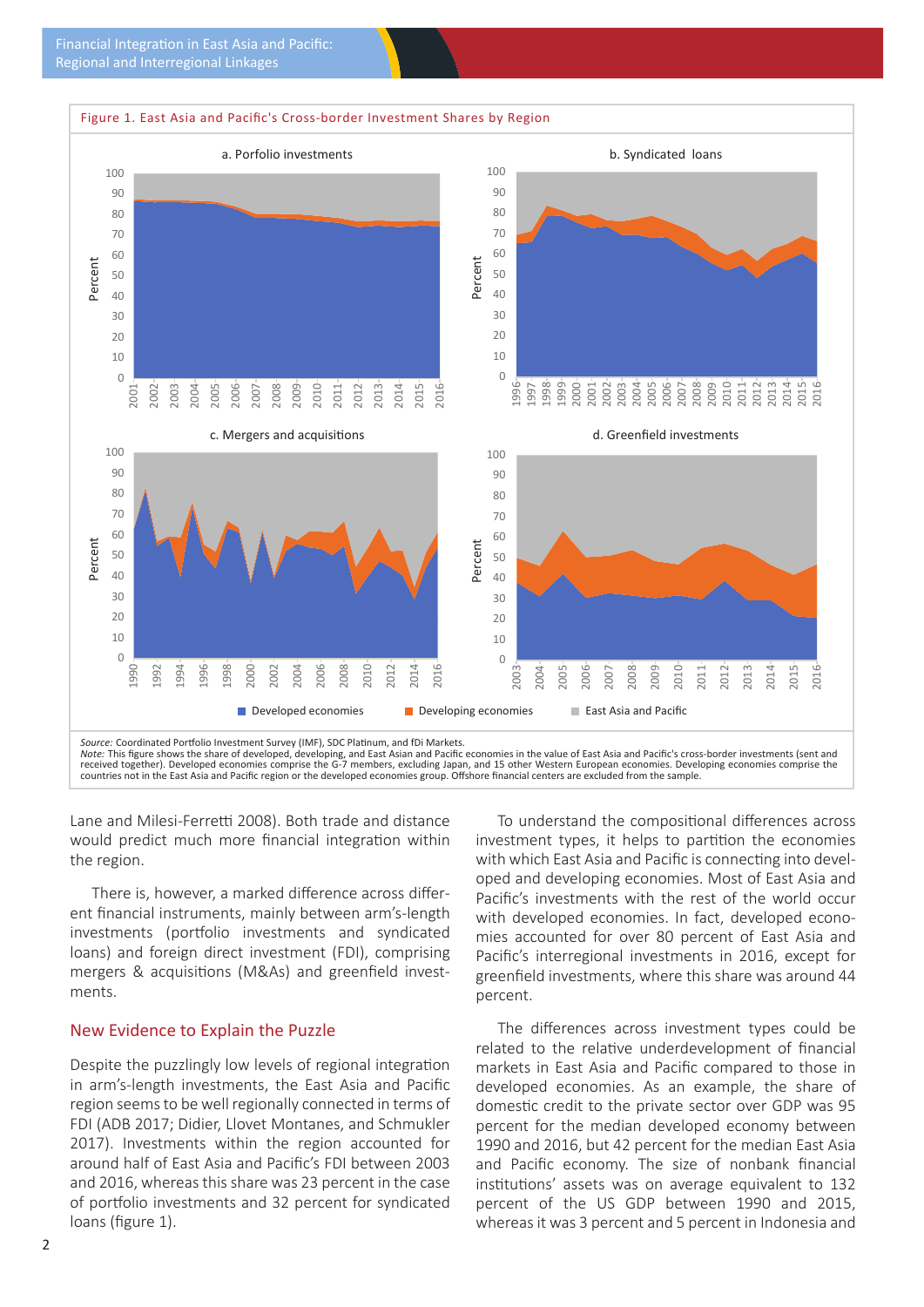

Lane and Milesi-Ferretti 2008). Both trade and distance would predict much more financial integration within the region.

 There is, however, a marked difference across different financial instruments, mainly between arm's-length investments (portfolio investments and syndicated loans) and foreign direct investment (FDI), comprising mergers & acquisitions (M&As) and greenfield investments.

### New Evidence to Explain the Puzzle

Despite the puzzlingly low levels of regional integration in arm's-length investments, the East Asia and Pacific region seems to be well regionally connected in terms of FDI (ADB 2017; Didier, Llovet Montanes, and Schmukler 2017). Investments within the region accounted for around half of East Asia and Pacific's FDI between 2003 and 2016, whereas this share was 23 percent in the case of portfolio investments and 32 percent for syndicated loans (figure 1).

 To understand the compositional differences across investment types, it helps to partition the economies with which East Asia and Pacific is connecting into developed and developing economies. Most of East Asia and Pacific's investments with the rest of the world occur with developed economies. In fact, developed economies accounted for over 80 percent of East Asia and Pacific's interregional investments in 2016, except for greenfield investments, where this share was around 44 percent.

 The differences across investment types could be related to the relative underdevelopment of financial markets in East Asia and Pacific compared to those in developed economies. As an example, the share of domestic credit to the private sector over GDP was 95 percent for the median developed economy between 1990 and 2016, but 42 percent for the median East Asia and Pacific economy. The size of nonbank financial institutions' assets was on average equivalent to 132 percent of the US GDP between 1990 and 2015, whereas it was 3 percent and 5 percent in Indonesia and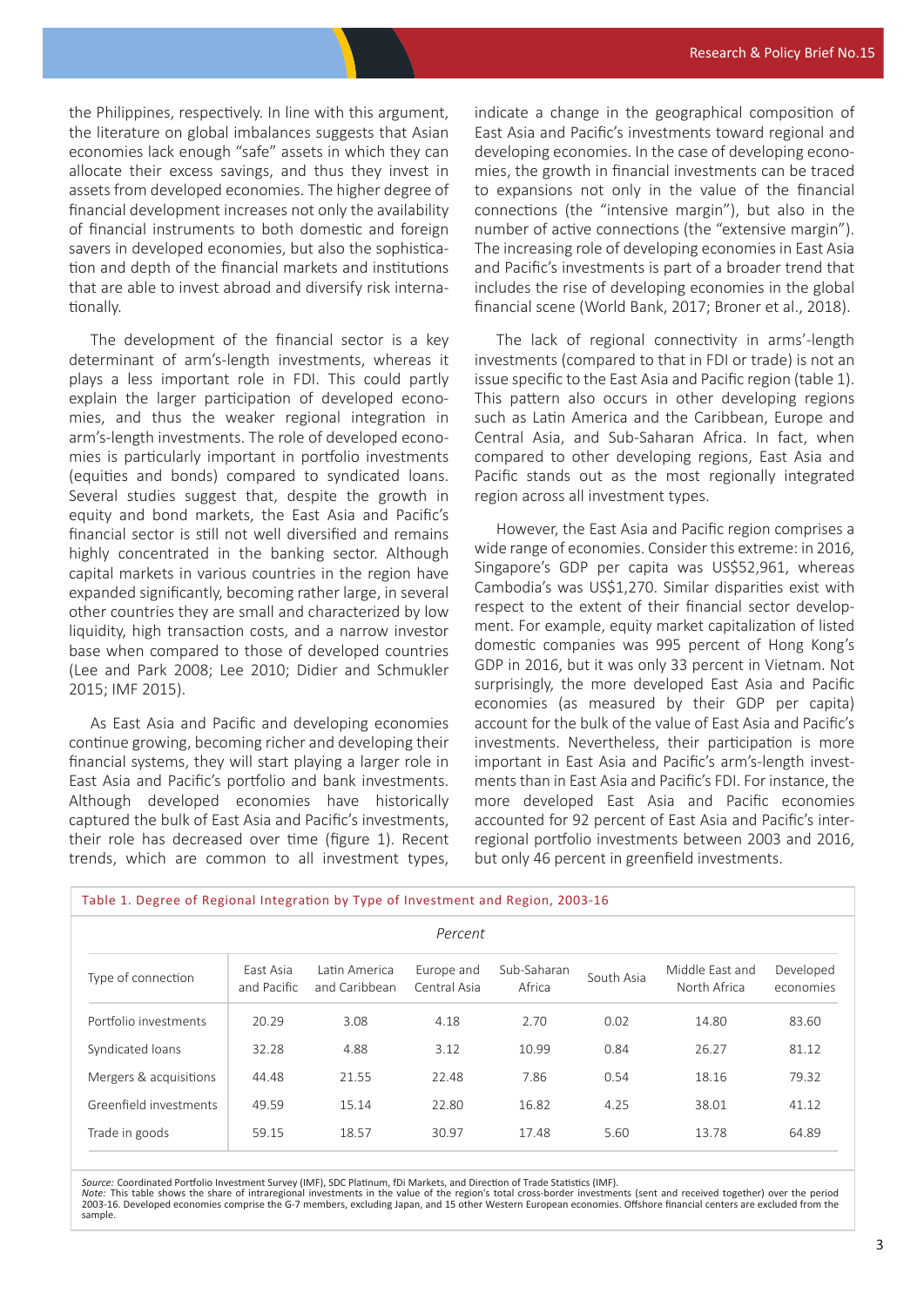the Philippines, respectively. In line with this argument, the literature on global imbalances suggests that Asian economies lack enough "safe" assets in which they can allocate their excess savings, and thus they invest in assets from developed economies. The higher degree of financial development increases not only the availability of financial instruments to both domestic and foreign savers in developed economies, but also the sophistication and depth of the financial markets and institutions that are able to invest abroad and diversify risk internationally.

 The development of the financial sector is a key determinant of arm's-length investments, whereas it plays a less important role in FDI. This could partly explain the larger participation of developed economies, and thus the weaker regional integration in arm's-length investments. The role of developed economies is particularly important in portfolio investments (equities and bonds) compared to syndicated loans. Several studies suggest that, despite the growth in equity and bond markets, the East Asia and Pacific's financial sector is still not well diversified and remains highly concentrated in the banking sector. Although capital markets in various countries in the region have expanded significantly, becoming rather large, in several other countries they are small and characterized by low liquidity, high transaction costs, and a narrow investor base when compared to those of developed countries (Lee and Park 2008; Lee 2010; Didier and Schmukler 2015; IMF 2015).

 As East Asia and Pacific and developing economies continue growing, becoming richer and developing their financial systems, they will start playing a larger role in East Asia and Pacific's portfolio and bank investments. Although developed economies have historically captured the bulk of East Asia and Pacific's investments, their role has decreased over time (figure 1). Recent trends, which are common to all investment types,

indicate a change in the geographical composition of East Asia and Pacific's investments toward regional and developing economies. In the case of developing economies, the growth in financial investments can be traced to expansions not only in the value of the financial connections (the "intensive margin"), but also in the number of active connections (the "extensive margin"). The increasing role of developing economies in East Asia and Pacific's investments is part of a broader trend that includes the rise of developing economies in the global financial scene (World Bank, 2017; Broner et al., 2018).

 The lack of regional connectivity in arms'-length investments (compared to that in FDI or trade) is not an issue specific to the East Asia and Pacific region (table 1). This pattern also occurs in other developing regions such as Latin America and the Caribbean, Europe and Central Asia, and Sub-Saharan Africa. In fact, when compared to other developing regions, East Asia and Pacific stands out as the most regionally integrated region across all investment types.

 However, the East Asia and Pacific region comprises a wide range of economies. Consider this extreme: in 2016, Singapore's GDP per capita was US\$52,961, whereas Cambodia's was US\$1,270. Similar disparities exist with respect to the extent of their financial sector development. For example, equity market capitalization of listed domestic companies was 995 percent of Hong Kong's GDP in 2016, but it was only 33 percent in Vietnam. Not surprisingly, the more developed East Asia and Pacific economies (as measured by their GDP per capita) account for the bulk of the value of East Asia and Pacific's investments. Nevertheless, their participation is more important in East Asia and Pacific's arm's-length investments than in East Asia and Pacific's FDI. For instance, the more developed East Asia and Pacific economies accounted for 92 percent of East Asia and Pacific's interregional portfolio investments between 2003 and 2016, but only 46 percent in greenfield investments.

| Table 1. Degree of Regional Integration by Type of Investment and Region, 2003-16 |                          |                                |                            |                       |            |                                 |                        |
|-----------------------------------------------------------------------------------|--------------------------|--------------------------------|----------------------------|-----------------------|------------|---------------------------------|------------------------|
| Percent                                                                           |                          |                                |                            |                       |            |                                 |                        |
| Type of connection                                                                | East Asia<br>and Pacific | Latin America<br>and Caribbean | Europe and<br>Central Asia | Sub-Saharan<br>Africa | South Asia | Middle East and<br>North Africa | Developed<br>economies |
| Portfolio investments                                                             | 20.29                    | 3.08                           | 4.18                       | 2.70                  | 0.02       | 14.80                           | 83.60                  |
| Syndicated loans                                                                  | 32.28                    | 4.88                           | 3.12                       | 10.99                 | 0.84       | 26.27                           | 81.12                  |
| Mergers & acquisitions                                                            | 44.48                    | 21.55                          | 22.48                      | 7.86                  | 0.54       | 18.16                           | 79.32                  |
| Greenfield investments                                                            | 49.59                    | 15.14                          | 22.80                      | 16.82                 | 4.25       | 38.01                           | 41.12                  |
| Trade in goods                                                                    | 59.15                    | 18.57                          | 30.97                      | 17.48                 | 5.60       | 13.78                           | 64.89                  |

*Source:* Coordinated Portfolio Investment Survey (IMF), SDC Platinum, fDi Markets, and Direction of Trade Statistics (IMF). *Note:* This table shows the share of intraregional investments in the value of the region's total cross-border investments (sent and received together) over the period 2003-16. Developed economies comprise the G-7 members, excluding Japan, and 15 other Western European economies. Offshore financial centers are excluded from the sample.